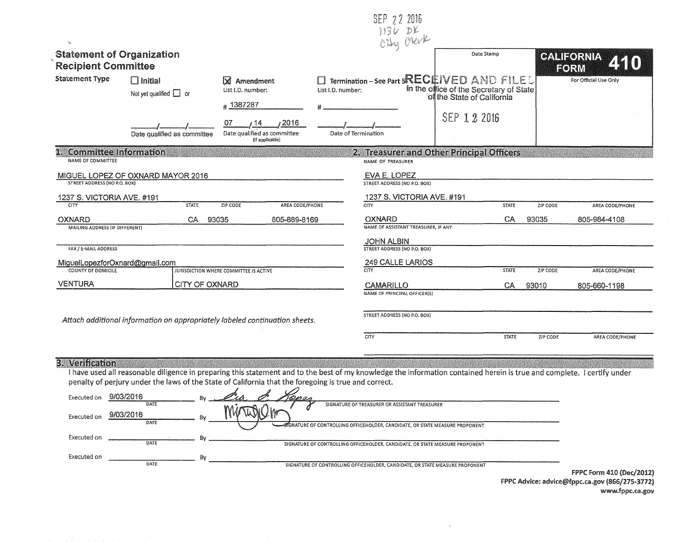|                                                                |                                                                                                                                                                                                                                                                                 |                                                                    |                   | SEP 22 2016                                                                  |                                                                                                                           |                    |                   |                                 |  |
|----------------------------------------------------------------|---------------------------------------------------------------------------------------------------------------------------------------------------------------------------------------------------------------------------------------------------------------------------------|--------------------------------------------------------------------|-------------------|------------------------------------------------------------------------------|---------------------------------------------------------------------------------------------------------------------------|--------------------|-------------------|---------------------------------|--|
|                                                                |                                                                                                                                                                                                                                                                                 |                                                                    |                   | 1136 DK                                                                      |                                                                                                                           |                    |                   |                                 |  |
| <b>Statement of Organization</b><br><b>Recipient Committee</b> |                                                                                                                                                                                                                                                                                 |                                                                    |                   |                                                                              | Date Stamp                                                                                                                |                    |                   | <b>GALIFORNIA</b><br>FORM       |  |
| <b>Statement Type</b>                                          | $\Box$ Initial<br>Not yet qualified $\Box$ or                                                                                                                                                                                                                                   | X Amendment<br>List I.D. number:<br>#1387287                       | List I.D. number: |                                                                              | <b>Termination – See Part 5RECEIVED AND FILE</b><br>in the office of the Secretary of State<br>of the State of California |                    |                   | For Official Use Only           |  |
|                                                                | Date qualified as committee                                                                                                                                                                                                                                                     | 2016<br>07<br>14<br>Date qualified as committee<br>(It applicable) |                   | Date of Termination                                                          | SEP 1 2 2016                                                                                                              |                    |                   |                                 |  |
| <b>Committee Information</b><br><b>NAME OF COMMITTEE</b>       |                                                                                                                                                                                                                                                                                 |                                                                    |                   | NAME OF TREASURER                                                            | 2. Treasurer and Other Principal Officers                                                                                 |                    |                   |                                 |  |
| <b>STREET ADDRESS (NO P.O. BOX)</b>                            | MIGUEL LOPEZ OF OXNARD MAYOR 2016                                                                                                                                                                                                                                               |                                                                    |                   | EVA E. LOPEZ<br>STREET ADDRESS (NO P.O. BOX)                                 |                                                                                                                           |                    |                   |                                 |  |
| 1237 S. VICTORIA AVE. #191                                     |                                                                                                                                                                                                                                                                                 |                                                                    |                   | 1237 S. VICTORIA AVE. #191                                                   |                                                                                                                           |                    |                   |                                 |  |
| CITY<br><b>OXNARD</b><br><b>MAILING ADDRESS (IF DIFFERENT)</b> | <b>STATE</b><br>CA.<br>93035                                                                                                                                                                                                                                                    | AREA CODE/PHONE<br>ZIP CODE<br>805-889-8169                        |                   | CITY<br>OXNARD<br>NAME OF ASSISTANT TREASURER, IF ANY                        |                                                                                                                           | <b>STATE</b><br>CA | ZIP CODE<br>93035 | AREA CODE/PHONE<br>805-984-4108 |  |
| FAX / E-MAIL ADDRESS                                           |                                                                                                                                                                                                                                                                                 |                                                                    |                   | <b>JOHN ALBIN</b><br><b>STREET ADDRESS (NO P.O. BOX)</b>                     |                                                                                                                           |                    |                   |                                 |  |
| MiguelLopezforOxnard@gmail.com                                 |                                                                                                                                                                                                                                                                                 |                                                                    |                   | 249 CALLE LARIOS                                                             |                                                                                                                           |                    |                   |                                 |  |
| COUNTY OF DOMICILE                                             |                                                                                                                                                                                                                                                                                 | JURISDICTION WHERE COMMITTEE IS ACTIVE                             |                   | $\overline{\text{C}}$                                                        |                                                                                                                           | <b>STATE</b>       | <b>ZIP CODE</b>   | AREA CODE/PHONE                 |  |
| <b>VENTURA</b>                                                 | CITY OF OXNARD                                                                                                                                                                                                                                                                  |                                                                    |                   | CAMARILLO<br><b>NAME OF PRINCIPAL OFFICER(S)</b>                             |                                                                                                                           | CA.                | 93010             | 805-660-1198                    |  |
|                                                                | Attach additional information on appropriately labeled continuation sheets.                                                                                                                                                                                                     |                                                                    |                   | STREET ADDRESS (NO P.O. BOX)                                                 |                                                                                                                           |                    |                   |                                 |  |
|                                                                |                                                                                                                                                                                                                                                                                 |                                                                    |                   | CITY                                                                         |                                                                                                                           | STATE              | ZIP CODE          | AREA CODE/PHONE                 |  |
| 3. Verification                                                | I have used all reasonable diligence in preparing this statement and to the best of my knowledge the information contained herein is true and complete. I certify under<br>penalty of perjury under the laws of the State of California that the foregoing is true and correct. |                                                                    |                   |                                                                              |                                                                                                                           |                    |                   |                                 |  |
| Executed on                                                    | 9/03/2016<br>DATE                                                                                                                                                                                                                                                               |                                                                    |                   | SIGNATURE OF TREASURER OR ASSISTANT TREASURER                                |                                                                                                                           |                    |                   |                                 |  |
| Executed on                                                    | 9/03/2016<br>DATE                                                                                                                                                                                                                                                               |                                                                    |                   | GNATURE OF CONTROLLING OFFICEHOLDER, CANDIDATE, OR STATE MEASURE PROPONENT   |                                                                                                                           |                    |                   |                                 |  |
| Executed on                                                    | Bv<br>DATE                                                                                                                                                                                                                                                                      |                                                                    |                   | SIGNATURE OF CONTROLLING OFFICEHOLDER, CANDIDATE, OR STATE MEASURE PROPONENT |                                                                                                                           |                    |                   |                                 |  |

 $\frac{1}{\sqrt{2\pi}}$  By Executed on  $\frac{1}{\sqrt{2\pi}}$  By

SIGNATURE Of CONTROLLING OFFICEHOLDER, CANDIDATE, OR STATE MEASURE PROPONENT

 $\sim$ 

f PPC Form 410 (Dec/2012) FPPC Advice: advice@fppc.ca.gov (866/275-3772) www.fppc.ca.gov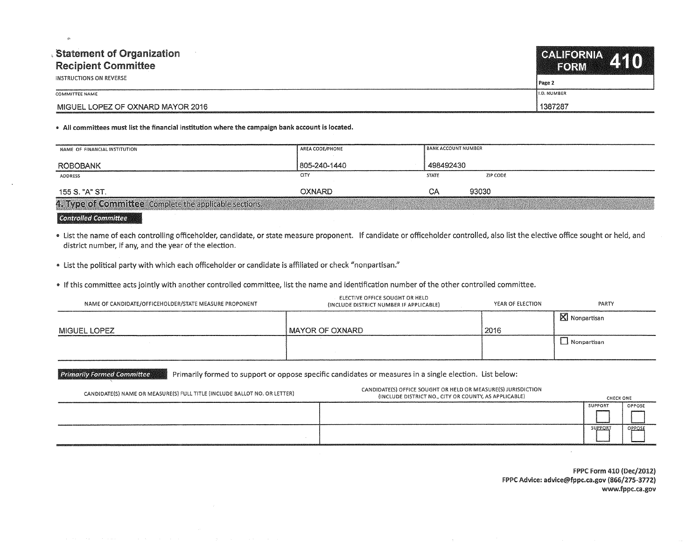| <b>Statement of Organization</b><br><b>Recipient Committee</b> | CALIFORNIA 440<br><b>TEORMA</b> |  |
|----------------------------------------------------------------|---------------------------------|--|
| INSTRUCTIONS ON REVERSE                                        | Page 2                          |  |
| COMMITTEE NAME                                                 | <b>I.D. NUMBER</b>              |  |
| MIGUEL LOPEZ OF OXNARD MAYOR 2016                              | 1387287                         |  |

## • Ail committees must list the financial institution where the campaign bank account is located.

| NAME OF FINANCIAL INSTITUTION                                                                                                                   | AREA CODE/PHONE | <b>BANK ACCOUNT NUMBER</b> |          |  |
|-------------------------------------------------------------------------------------------------------------------------------------------------|-----------------|----------------------------|----------|--|
| ROBOBANK                                                                                                                                        | 805-240-1440    | 498492430                  |          |  |
| ADDRESS                                                                                                                                         | CITY            | <b>STATE</b>               | ZIP CODE |  |
| 155 S. "A" ST.                                                                                                                                  | OXNARD ·        | CΑ                         | 93030    |  |
| 4. Type of Committee Complete the applicable sections.<br>A CONTRACTOR IN CASE OF A CONTRACTOR CONTRACTOR OF A CONTRACTOR CONTRACTOR CONTRACTOR |                 |                            |          |  |

## **€ontro1led €ommit'tee**

., List the name of each controlling officeholder, candidate, or state measure proponent. If candidate or officeholder controlled, also list the elective office sought or held, and district number, if any, and the year of the election.

• List the political party with which each officeholder or candidate is affiliated or check "nonpartisan."

., If this committee acts jointly with another controlled committee, list the name and identification number of the other controlled committee.

| NAME OF CANDIDATE/OFFICEHOLDER/STATE MEASURE PROPONENT | ELECTIVE OFFICE SOUGHT OR HELD<br>(INCLUDE DISTRICT NUMBER IF APPLICABLE) | YEAR OF ELECTION | PARTY                   |
|--------------------------------------------------------|---------------------------------------------------------------------------|------------------|-------------------------|
|                                                        |                                                                           |                  | $\boxtimes$ Nonpartisan |
| <b>MIGUEL LOPEZ</b>                                    | I MAYOR OF OXNARD                                                         | 2016             |                         |
|                                                        |                                                                           |                  | $\perp$ Nonpartisan     |

Primarily Formed Committee **Primarily formed to support or oppose specific candidates or measures in a single election. List below:** 

| CANDIDATE(S) NAME OR MEASURE(S) FULL TITLE (INCLUDE BALLOT NO. OR LETTER) | CANDIDATE(S) OFFICE SOUGHT OR HELD OR MEASURE(S) JURISDICTION<br>(INCLUDE DISTRICT NO., CITY OR COUNTY, AS APPLICABLE) | CHECK ONE |        |
|---------------------------------------------------------------------------|------------------------------------------------------------------------------------------------------------------------|-----------|--------|
|                                                                           |                                                                                                                        | SUPPORT   | OPPOSE |
|                                                                           |                                                                                                                        | SUPPORT   | OPPOSE |
|                                                                           |                                                                                                                        |           |        |

FPPC Form 410 (Dec/2012) FPPC Advice: advice@fppc.ca.gov (866/275-3772) www.fppc.ca.gov